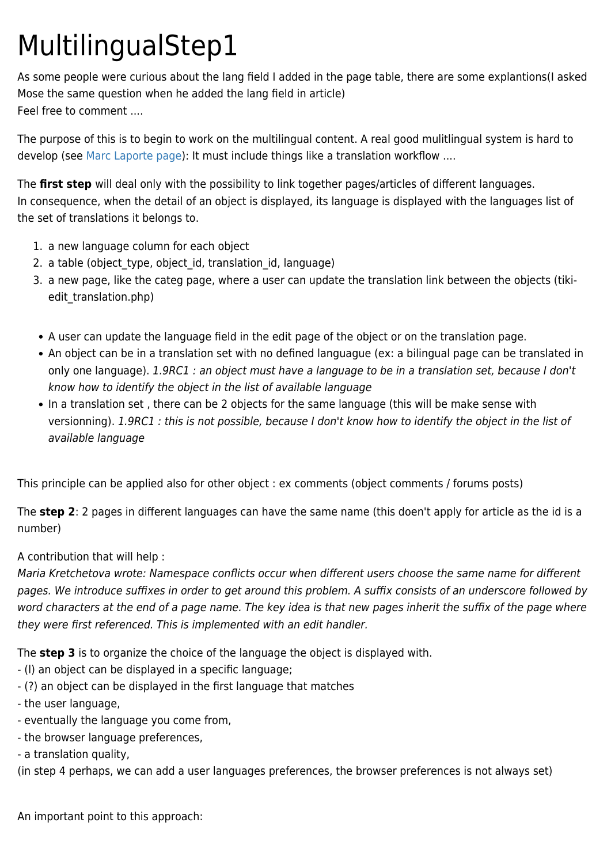## MultilingualStep1

As some people were curious about the lang field I added in the page table, there are some explantions(I asked Mose the same question when he added the lang field in article) Feel free to comment ....

The purpose of this is to begin to work on the multilingual content. A real good mulitlingual system is hard to develop (see [Marc Laporte page](https://tiki.org/UserPagemarclaporte)): It must include things like a translation workflow ....

The **first step** will deal only with the possibility to link together pages/articles of different languages. In consequence, when the detail of an object is displayed, its language is displayed with the languages list of the set of translations it belongs to.

- 1. a new language column for each object
- 2. a table (object type, object id, translation id, language)
- 3. a new page, like the categ page, where a user can update the translation link between the objects (tikiedit\_translation.php)
- A user can update the language field in the edit page of the object or on the translation page.
- An object can be in a translation set with no defined languague (ex: a bilingual page can be translated in only one language). 1.9RC1 : an object must have a language to be in a translation set, because I don't know how to identify the object in the list of available language
- In a translation set, there can be 2 objects for the same language (this will be make sense with versionning). 1.9RC1 : this is not possible, because I don't know how to identify the object in the list of available language

This principle can be applied also for other object : ex comments (object comments / forums posts)

The **step 2**: 2 pages in different languages can have the same name (this doen't apply for article as the id is a number)

## A contribution that will help :

Maria Kretchetova wrote: Namespace conflicts occur when different users choose the same name for different pages. We introduce suffixes in order to get around this problem. A suffix consists of an underscore followed by word characters at the end of a page name. The key idea is that new pages inherit the suffix of the page where they were first referenced. This is implemented with an edit handler.

The **step 3** is to organize the choice of the language the object is displayed with.

- (l) an object can be displayed in a specific language;
- (?) an object can be displayed in the first language that matches
- the user language,
- eventually the language you come from,
- the browser language preferences,
- a translation quality,

(in step 4 perhaps, we can add a user languages preferences, the browser preferences is not always set)

An important point to this approach: